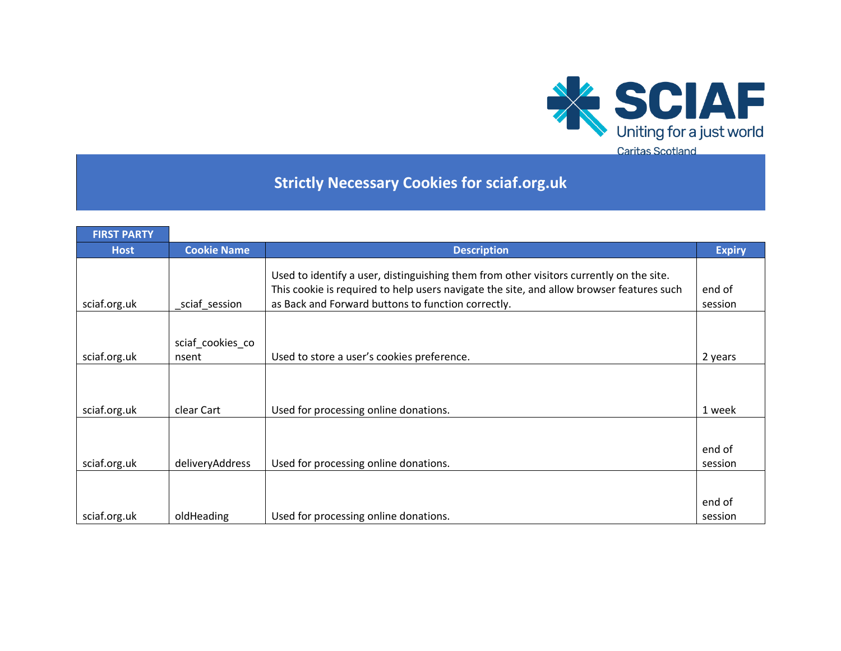

## **Strictly Necessary Cookies for sciaf.org.uk**

| <b>Cookie Name</b> | <b>Description</b>                                                       | <b>Expiry</b>                                                                                                                                                                                                                                                                                                                                                                                                      |
|--------------------|--------------------------------------------------------------------------|--------------------------------------------------------------------------------------------------------------------------------------------------------------------------------------------------------------------------------------------------------------------------------------------------------------------------------------------------------------------------------------------------------------------|
|                    |                                                                          |                                                                                                                                                                                                                                                                                                                                                                                                                    |
|                    |                                                                          |                                                                                                                                                                                                                                                                                                                                                                                                                    |
|                    |                                                                          | end of                                                                                                                                                                                                                                                                                                                                                                                                             |
| sciaf session      |                                                                          | session                                                                                                                                                                                                                                                                                                                                                                                                            |
|                    |                                                                          |                                                                                                                                                                                                                                                                                                                                                                                                                    |
|                    |                                                                          |                                                                                                                                                                                                                                                                                                                                                                                                                    |
|                    |                                                                          |                                                                                                                                                                                                                                                                                                                                                                                                                    |
|                    |                                                                          | 2 years                                                                                                                                                                                                                                                                                                                                                                                                            |
|                    |                                                                          |                                                                                                                                                                                                                                                                                                                                                                                                                    |
|                    |                                                                          |                                                                                                                                                                                                                                                                                                                                                                                                                    |
|                    |                                                                          |                                                                                                                                                                                                                                                                                                                                                                                                                    |
|                    |                                                                          | 1 week                                                                                                                                                                                                                                                                                                                                                                                                             |
|                    |                                                                          |                                                                                                                                                                                                                                                                                                                                                                                                                    |
|                    |                                                                          | end of                                                                                                                                                                                                                                                                                                                                                                                                             |
|                    |                                                                          | session                                                                                                                                                                                                                                                                                                                                                                                                            |
|                    |                                                                          |                                                                                                                                                                                                                                                                                                                                                                                                                    |
|                    |                                                                          |                                                                                                                                                                                                                                                                                                                                                                                                                    |
|                    |                                                                          | end of                                                                                                                                                                                                                                                                                                                                                                                                             |
|                    |                                                                          | session                                                                                                                                                                                                                                                                                                                                                                                                            |
|                    | sciaf_cookies_co<br>nsent<br>clear Cart<br>deliveryAddress<br>oldHeading | Used to identify a user, distinguishing them from other visitors currently on the site.<br>This cookie is required to help users navigate the site, and allow browser features such<br>as Back and Forward buttons to function correctly.<br>Used to store a user's cookies preference.<br>Used for processing online donations.<br>Used for processing online donations.<br>Used for processing online donations. |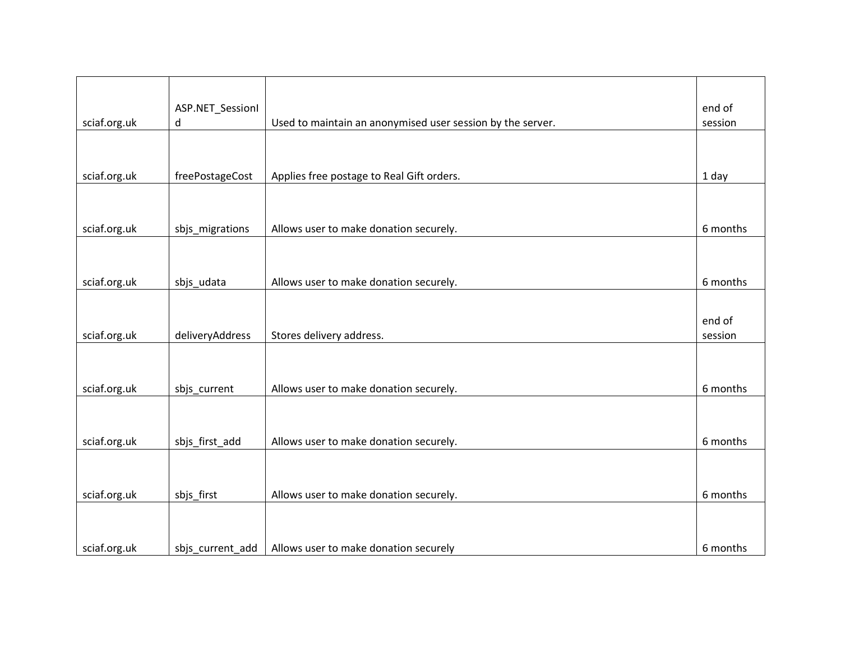|              | ASP.NET_Sessionl |                                                            | end of   |
|--------------|------------------|------------------------------------------------------------|----------|
| sciaf.org.uk | d                | Used to maintain an anonymised user session by the server. | session  |
|              |                  |                                                            |          |
|              |                  |                                                            |          |
| sciaf.org.uk | freePostageCost  | Applies free postage to Real Gift orders.                  | 1 day    |
|              |                  |                                                            |          |
|              |                  |                                                            |          |
|              |                  |                                                            |          |
| sciaf.org.uk | sbjs_migrations  | Allows user to make donation securely.                     | 6 months |
|              |                  |                                                            |          |
|              |                  |                                                            |          |
| sciaf.org.uk | sbjs_udata       | Allows user to make donation securely.                     | 6 months |
|              |                  |                                                            |          |
|              |                  |                                                            |          |
|              |                  |                                                            | end of   |
| sciaf.org.uk | deliveryAddress  | Stores delivery address.                                   | session  |
|              |                  |                                                            |          |
|              |                  |                                                            |          |
| sciaf.org.uk | sbjs_current     | Allows user to make donation securely.                     | 6 months |
|              |                  |                                                            |          |
|              |                  |                                                            |          |
| sciaf.org.uk | sbjs_first_add   | Allows user to make donation securely.                     | 6 months |
|              |                  |                                                            |          |
|              |                  |                                                            |          |
|              |                  |                                                            |          |
| sciaf.org.uk | sbjs_first       | Allows user to make donation securely.                     | 6 months |
|              |                  |                                                            |          |
|              |                  |                                                            |          |
| sciaf.org.uk | sbjs current add | Allows user to make donation securely                      | 6 months |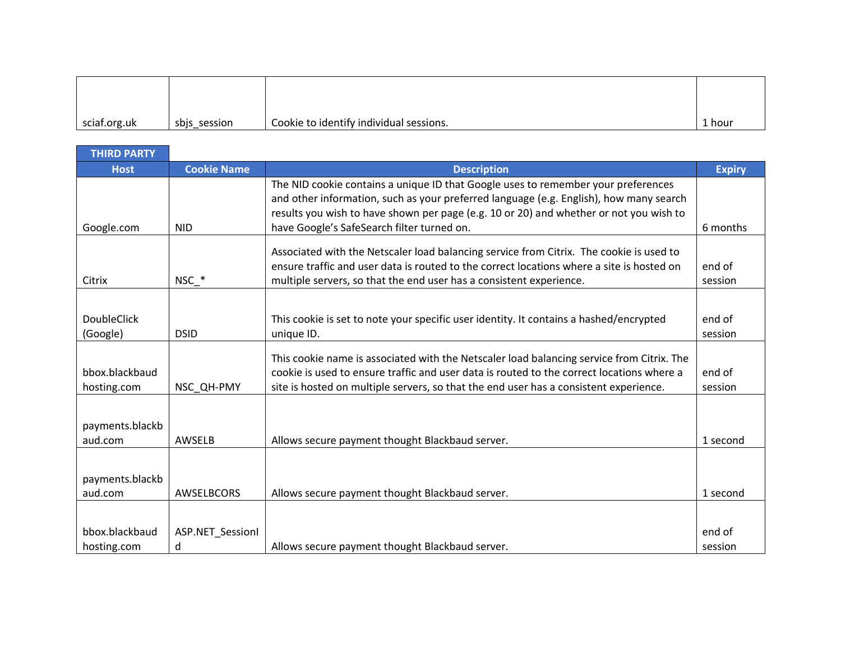| sciaf.org.uk | sbjs_session | Cookie to identify individual sessions. | 1 hour |
|--------------|--------------|-----------------------------------------|--------|

| <b>THIRD PARTY</b>             |                       |                                                                                                                                                                                                                                                                                                                     |                   |
|--------------------------------|-----------------------|---------------------------------------------------------------------------------------------------------------------------------------------------------------------------------------------------------------------------------------------------------------------------------------------------------------------|-------------------|
| <b>Host</b>                    | <b>Cookie Name</b>    | <b>Description</b>                                                                                                                                                                                                                                                                                                  | <b>Expiry</b>     |
| Google.com                     | <b>NID</b>            | The NID cookie contains a unique ID that Google uses to remember your preferences<br>and other information, such as your preferred language (e.g. English), how many search<br>results you wish to have shown per page (e.g. 10 or 20) and whether or not you wish to<br>have Google's SafeSearch filter turned on. | 6 months          |
|                                |                       | Associated with the Netscaler load balancing service from Citrix. The cookie is used to<br>ensure traffic and user data is routed to the correct locations where a site is hosted on                                                                                                                                | end of            |
| Citrix                         | $NSC$ $*$             | multiple servers, so that the end user has a consistent experience.                                                                                                                                                                                                                                                 | session           |
| <b>DoubleClick</b><br>(Google) | <b>DSID</b>           | This cookie is set to note your specific user identity. It contains a hashed/encrypted<br>unique ID.                                                                                                                                                                                                                | end of<br>session |
| bbox.blackbaud<br>hosting.com  | NSC QH-PMY            | This cookie name is associated with the Netscaler load balancing service from Citrix. The<br>cookie is used to ensure traffic and user data is routed to the correct locations where a<br>site is hosted on multiple servers, so that the end user has a consistent experience.                                     | end of<br>session |
| payments.blackb<br>aud.com     | AWSELB                | Allows secure payment thought Blackbaud server.                                                                                                                                                                                                                                                                     | 1 second          |
| payments.blackb<br>aud.com     | AWSELBCORS            | Allows secure payment thought Blackbaud server.                                                                                                                                                                                                                                                                     | 1 second          |
| bbox.blackbaud<br>hosting.com  | ASP.NET_Sessionl<br>d | Allows secure payment thought Blackbaud server.                                                                                                                                                                                                                                                                     | end of<br>session |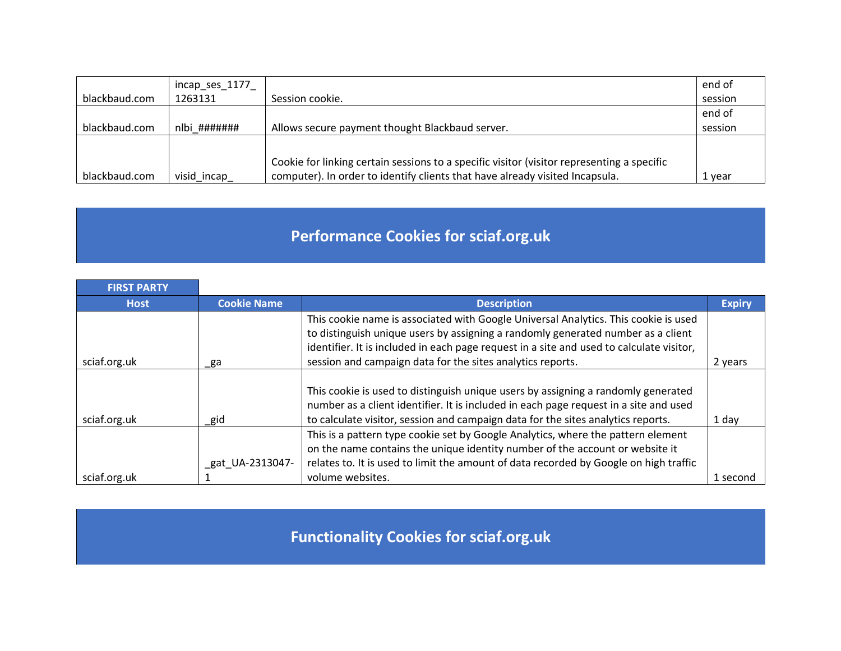|               | incap_ses_1177_ |                                                                                            | end of  |
|---------------|-----------------|--------------------------------------------------------------------------------------------|---------|
| blackbaud.com | 1263131         | Session cookie.                                                                            | session |
|               |                 |                                                                                            | end of  |
| blackbaud.com | nlbi #######    | Allows secure payment thought Blackbaud server.                                            | session |
|               |                 |                                                                                            |         |
|               |                 | Cookie for linking certain sessions to a specific visitor (visitor representing a specific |         |
| blackbaud.com | visid_incap_    | computer). In order to identify clients that have already visited Incapsula.               | 1 year  |

## **Performance Cookies for sciaf.org.uk**

| <b>FIRST PARTY</b> |                    |                                                                                                                                                                                                                                                                                                                                                    |               |
|--------------------|--------------------|----------------------------------------------------------------------------------------------------------------------------------------------------------------------------------------------------------------------------------------------------------------------------------------------------------------------------------------------------|---------------|
| <b>Host</b>        | <b>Cookie Name</b> | <b>Description</b>                                                                                                                                                                                                                                                                                                                                 | <b>Expiry</b> |
|                    |                    | This cookie name is associated with Google Universal Analytics. This cookie is used<br>to distinguish unique users by assigning a randomly generated number as a client<br>identifier. It is included in each page request in a site and used to calculate visitor,                                                                                |               |
| sciaf.org.uk       | _ga                | session and campaign data for the sites analytics reports.                                                                                                                                                                                                                                                                                         | 2 years       |
| sciaf.org.uk       | _gid               | This cookie is used to distinguish unique users by assigning a randomly generated<br>number as a client identifier. It is included in each page request in a site and used<br>to calculate visitor, session and campaign data for the sites analytics reports.<br>This is a pattern type cookie set by Google Analytics, where the pattern element | 1 day         |
| sciaf.org.uk       | gat UA-2313047-    | on the name contains the unique identity number of the account or website it<br>relates to. It is used to limit the amount of data recorded by Google on high traffic<br>volume websites.                                                                                                                                                          | 1 second      |

**Functionality Cookies for sciaf.org.uk**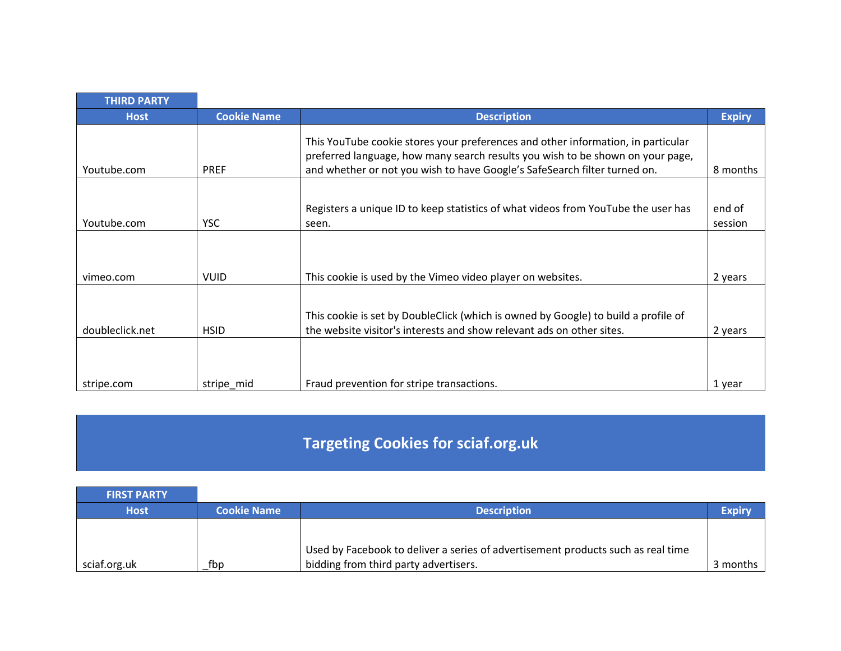| <b>THIRD PARTY</b> |                    |                                                                                                                                                                                                                                                 |                   |
|--------------------|--------------------|-------------------------------------------------------------------------------------------------------------------------------------------------------------------------------------------------------------------------------------------------|-------------------|
| <b>Host</b>        | <b>Cookie Name</b> | <b>Description</b>                                                                                                                                                                                                                              | <b>Expiry</b>     |
| Youtube.com        | <b>PREF</b>        | This YouTube cookie stores your preferences and other information, in particular<br>preferred language, how many search results you wish to be shown on your page,<br>and whether or not you wish to have Google's SafeSearch filter turned on. | 8 months          |
| Youtube.com        | <b>YSC</b>         | Registers a unique ID to keep statistics of what videos from YouTube the user has<br>seen.                                                                                                                                                      | end of<br>session |
| vimeo.com          | <b>VUID</b>        | This cookie is used by the Vimeo video player on websites.                                                                                                                                                                                      | 2 years           |
| doubleclick.net    | <b>HSID</b>        | This cookie is set by DoubleClick (which is owned by Google) to build a profile of<br>the website visitor's interests and show relevant ads on other sites.                                                                                     | 2 years           |
| stripe.com         | stripe mid         | Fraud prevention for stripe transactions.                                                                                                                                                                                                       | 1 year            |

## **Targeting Cookies for sciaf.org.uk**

| <b>FIRST PARTY</b> |                    |                                                                                  |               |
|--------------------|--------------------|----------------------------------------------------------------------------------|---------------|
| <b>Host</b>        | <b>Cookie Name</b> | <b>Description</b>                                                               | <b>Expiry</b> |
|                    |                    |                                                                                  |               |
|                    |                    | Used by Facebook to deliver a series of advertisement products such as real time |               |
| sciaf.org.uk       | fbp                | bidding from third party advertisers.                                            | 3 months      |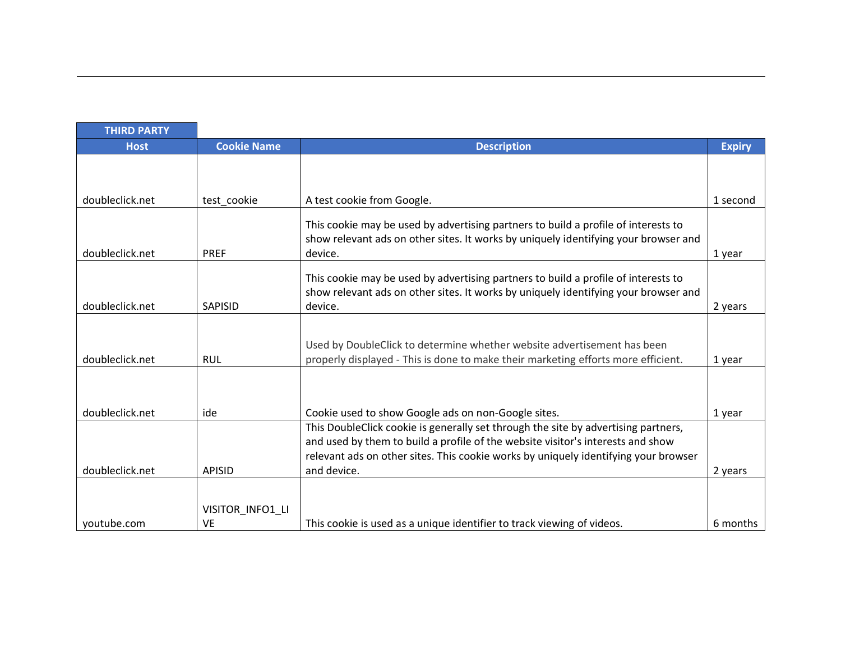| <b>THIRD PARTY</b> |                    |                                                                                                                                                                           |               |
|--------------------|--------------------|---------------------------------------------------------------------------------------------------------------------------------------------------------------------------|---------------|
| <b>Host</b>        | <b>Cookie Name</b> | <b>Description</b>                                                                                                                                                        | <b>Expiry</b> |
|                    |                    |                                                                                                                                                                           |               |
|                    |                    |                                                                                                                                                                           |               |
| doubleclick.net    | test cookie        | A test cookie from Google.                                                                                                                                                | 1 second      |
|                    |                    | This cookie may be used by advertising partners to build a profile of interests to                                                                                        |               |
|                    |                    | show relevant ads on other sites. It works by uniquely identifying your browser and                                                                                       |               |
| doubleclick.net    | <b>PREF</b>        | device.                                                                                                                                                                   | 1 year        |
|                    |                    |                                                                                                                                                                           |               |
|                    |                    | This cookie may be used by advertising partners to build a profile of interests to<br>show relevant ads on other sites. It works by uniquely identifying your browser and |               |
| doubleclick.net    | <b>SAPISID</b>     | device.                                                                                                                                                                   | 2 years       |
|                    |                    |                                                                                                                                                                           |               |
|                    |                    |                                                                                                                                                                           |               |
|                    |                    | Used by DoubleClick to determine whether website advertisement has been                                                                                                   |               |
| doubleclick.net    | <b>RUL</b>         | properly displayed - This is done to make their marketing efforts more efficient.                                                                                         | 1 year        |
|                    |                    |                                                                                                                                                                           |               |
|                    |                    |                                                                                                                                                                           |               |
| doubleclick.net    | ide                | Cookie used to show Google ads on non-Google sites.                                                                                                                       | 1 year        |
|                    |                    | This DoubleClick cookie is generally set through the site by advertising partners,                                                                                        |               |
|                    |                    | and used by them to build a profile of the website visitor's interests and show                                                                                           |               |
|                    |                    | relevant ads on other sites. This cookie works by uniquely identifying your browser                                                                                       |               |
| doubleclick.net    | <b>APISID</b>      | and device.                                                                                                                                                               | 2 years       |
|                    |                    |                                                                                                                                                                           |               |
|                    | VISITOR_INFO1_LI   |                                                                                                                                                                           |               |
| youtube.com        | VE                 | This cookie is used as a unique identifier to track viewing of videos.                                                                                                    | 6 months      |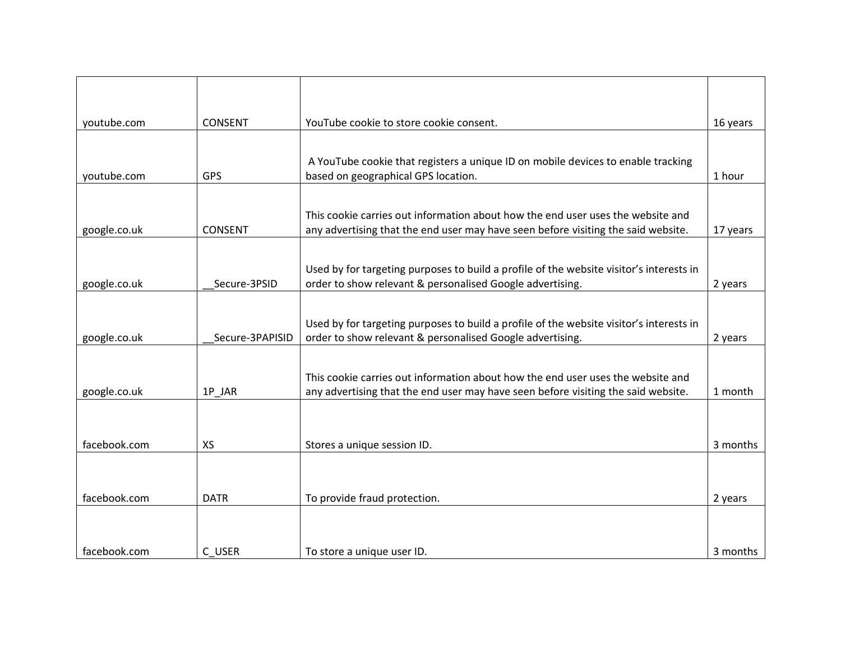| youtube.com  | <b>CONSENT</b>  | YouTube cookie to store cookie consent.                                                                                                                              | 16 years |
|--------------|-----------------|----------------------------------------------------------------------------------------------------------------------------------------------------------------------|----------|
|              |                 |                                                                                                                                                                      |          |
| youtube.com  | <b>GPS</b>      | A YouTube cookie that registers a unique ID on mobile devices to enable tracking<br>based on geographical GPS location.                                              | 1 hour   |
|              |                 |                                                                                                                                                                      |          |
| google.co.uk | <b>CONSENT</b>  | This cookie carries out information about how the end user uses the website and<br>any advertising that the end user may have seen before visiting the said website. | 17 years |
|              |                 |                                                                                                                                                                      |          |
|              |                 | Used by for targeting purposes to build a profile of the website visitor's interests in                                                                              |          |
| google.co.uk | Secure-3PSID    | order to show relevant & personalised Google advertising.                                                                                                            | 2 years  |
|              |                 | Used by for targeting purposes to build a profile of the website visitor's interests in                                                                              |          |
| google.co.uk | Secure-3PAPISID | order to show relevant & personalised Google advertising.                                                                                                            | 2 years  |
|              |                 | This cookie carries out information about how the end user uses the website and                                                                                      |          |
| google.co.uk | 1P_JAR          | any advertising that the end user may have seen before visiting the said website.                                                                                    | 1 month  |
|              |                 |                                                                                                                                                                      |          |
| facebook.com | <b>XS</b>       | Stores a unique session ID.                                                                                                                                          | 3 months |
|              |                 |                                                                                                                                                                      |          |
| facebook.com | <b>DATR</b>     | To provide fraud protection.                                                                                                                                         | 2 years  |
|              |                 |                                                                                                                                                                      |          |
| facebook.com | C USER          | To store a unique user ID.                                                                                                                                           | 3 months |